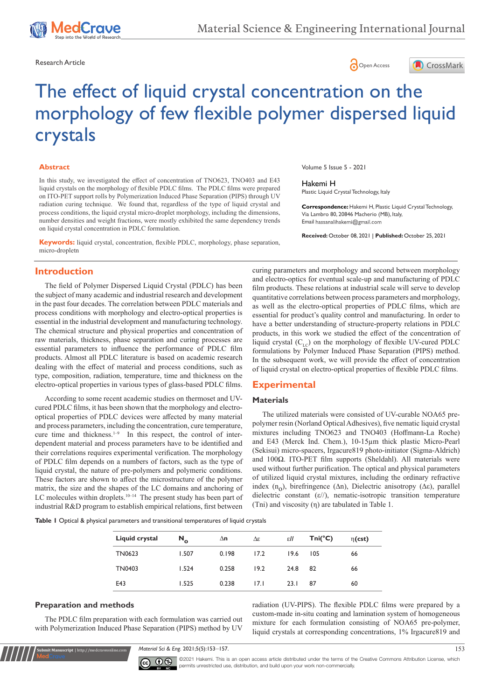

Research Article **Contracts** Contracts and Contracts Contracts Contracts Contracts Contracts Contracts Contracts Contracts Contracts Contracts Contracts Contracts Contracts Contracts Contracts Contracts Contracts Contracts





# The effect of liquid crystal concentration on the morphology of few flexible polymer dispersed liquid crystals

#### **Abstract**

In this study, we investigated the effect of concentration of TNO623, TNO403 and E43 liquid crystals on the morphology of flexible PDLC films. The PDLC films were prepared on ITO-PET support rolls by Polymerization Induced Phase Separation (PIPS) through UV radiation curing technique. We found that, regardless of the type of liquid crystal and process conditions, the liquid crystal micro-droplet morphology, including the dimensions, number densities and weight fractions, were mostly exhibited the same dependency trends on liquid crystal concentration in PDLC formulation.

**Keywords:** liquid crystal, concentration, flexible PDLC, morphology, phase separation, micro-dropletn

# **Introduction**

The field of Polymer Dispersed Liquid Crystal (PDLC) has been the subject of many academic and industrial research and development in the past four decades. The correlation between PDLC materials and process conditions with morphology and electro-optical properties is essential in the industrial development and manufacturing technology. The chemical structure and physical properties and concentration of raw materials, thickness, phase separation and curing processes are essential parameters to influence the performance of PDLC film products. Almost all PDLC literature is based on academic research dealing with the effect of material and process conditions, such as type, composition, radiation, temperature, time and thickness on the electro-optical properties in various types of glass-based PDLC films.

According to some recent academic studies on thermoset and UVcured PDLC films, it has been shown that the morphology and electrooptical properties of PDLC devices were affected by many material and process parameters, including the concentration, cure temperature, cure time and thickness.<sup>1-9</sup> In this respect, the control of interdependent material and process parameters have to be identified and their correlations requires experimental verification. The morphology of PDLC film depends on a numbers of factors, such as the type of liquid crystal, the nature of pre-polymers and polymeric conditions. These factors are shown to affect the microstructure of the polymer matrix, the size and the shapes of the LC domains and anchoring of LC molecules within droplets.<sup>10–14</sup> The present study has been part of industrial R&D program to establish empirical relations, first between Volume 5 Issue 5 - 2021

#### Hakemi H

Plastic Liquid Crystal Technology, Italy

**Correspondence:** Hakemi H, Plastic Liquid Crystal Technology, Via Lambro 80, 20846 Macherio (MB), Italy, Email hassanalihakemi@gmail.com

**Received:** October 08, 2021 | **Published:** October 25, 2021

curing parameters and morphology and second between morphology and electro-optics for eventual scale-up and manufacturing of PDLC film products. These relations at industrial scale will serve to develop quantitative correlations between process parameters and morphology, as well as the electro-optical properties of PDLC films, which are essential for product's quality control and manufacturing. In order to have a better understanding of structure-property relations in PDLC products, in this work we studied the effect of the concentration of liquid crystal  $(C_{\text{LC}})$  on the morphology of flexible UV-cured PDLC formulations by Polymer Induced Phase Separation (PIPS) method. In the subsequent work, we will provide the effect of concentration of liquid crystal on electro-optical properties of flexible PDLC films.

# **Experimental**

#### **Materials**

The utilized materials were consisted of UV-curable NOA65 prepolymer resin (Norland Optical Adhesives), five nematic liquid crystal mixtures including TNO623 and TNO403 (Hoffmann-La Roche) and E43 (Merck Ind. Chem.), 10-15µm thick plastic Micro-Pearl (Sekisui) micro-spacers, Irgacure819 photo-initiator (Sigma-Aldrich) and 100Ω. ITO-PET film supports (Sheldahl). All materials were used without further purification. The optical and physical parameters of utilized liquid crystal mixtures, including the ordinary refractive index (n<sub>o</sub>), birefringence ( $Δn$ ), Dielectric anisotropy ( $Δε$ ), parallel dielectric constant (ε//), nematic-isotropic transition temperature (Tni) and viscosity (η) are tabulated in Table 1.

**Table 1** Optical & physical parameters and transitional temperatures of liquid crystals

| Liquid crystal | $N_{o}$ | $\Delta n$ | Δε   | εII  | $Tni(^{\circ}C)$ | $\eta(\textsf{cst})$ |
|----------------|---------|------------|------|------|------------------|----------------------|
| TN0623         | 1.507   | 0.198      | 17.2 | 19.6 | 105              | 66                   |
| TN0403         | 1.524   | 0.258      | 19.2 | 24.8 | 82               | 66                   |
| E43            | 1.525   | 0.238      | 17.1 | 23.1 | 87               | 60                   |
|                |         |            |      |      |                  |                      |

### **Preparation and methods**

**it Manuscript** | http://medcraveonline.c

The PDLC film preparation with each formulation was carried out with Polymerization Induced Phase Separation (PIPS) method by UV

radiation (UV-PIPS). The flexible PDLC films were prepared by a custom-made in-situ coating and lamination system of homogeneous mixture for each formulation consisting of NOA65 pre-polymer, liquid crystals at corresponding concentrations, 1% Irgacure819 and

*Material Sci & Eng.* 2021;5(5):153‒157. 153



©2021 Hakemi. This is an open access article distributed under the terms of the [Creative Commons Attribution License](https://creativecommons.org/licenses/by-nc/4.0/), which permits unrestricted use, distribution, and build upon your work non-commercially.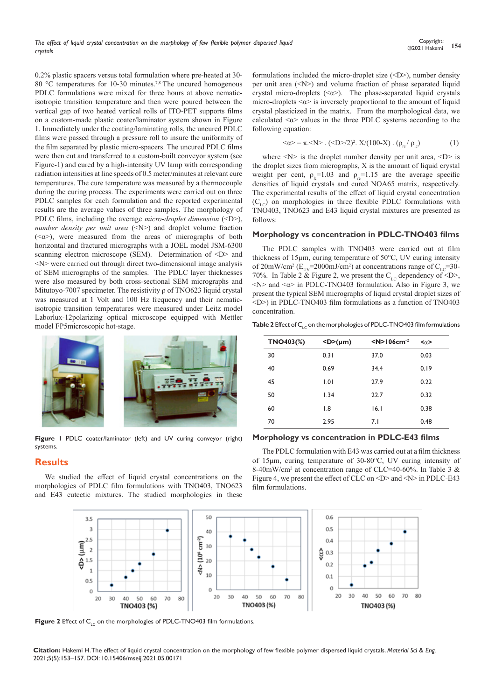0.2% plastic spacers versus total formulation where pre-heated at 30- 80 °C temperatures for 10-30 minutes.<sup>7,8</sup> The uncured homogenous PDLC formulations were mixed for three hours at above nematicisotropic transition temperature and then were poured between the vertical gap of two heated vertical rolls of ITO-PET supports films on a custom-made plastic coater/laminator system shown in Figure 1. Immediately under the coating/laminating rolls, the uncured PDLC films were passed through a pressure roll to insure the uniformity of the film separated by plastic micro-spacers. The uncured PDLC films were then cut and transferred to a custom-built conveyor system (see Figure-1) and cured by a high-intensity UV lamp with corresponding radiation intensities at line speeds of 0.5 meter/minutes at relevant cure temperatures. The cure temperature was measured by a thermocouple during the curing process. The experiments were carried out on three PDLC samples for each formulation and the reported experimental results are the average values of three samples. The morphology of PDLC films, including the average *micro-droplet dimension* (<D>), *number density per unit area* (<N>) and droplet volume fraction (<α>), were measured from the areas of micrographs of both horizontal and fractured micrographs with a JOEL model JSM-6300 scanning electron microscope (SEM). Determination of  $\langle D \rangle$  and  $\langle N \rangle$  were carried out through direct two-dimensional image analysis of SEM micrographs of the samples. The PDLC layer thicknesses were also measured by both cross-sectional SEM micrographs and Mitutoyo-7007 specimeter. The resistivity ρ of TNO623 liquid crystal was measured at 1 Volt and 100 Hz frequency and their nematicisotropic transition temperatures were measured under Leitz model Laborlux-12polarizing optical microscope equipped with Mettler model FP5microscopic hot-stage.



**Figure 1** PDLC coater/laminator (left) and UV curing conveyor (right) systems.

## **Results**

We studied the effect of liquid crystal concentrations on the morphologies of PDLC film formulations with TNO403, TNO623 and E43 eutectic mixtures. The studied morphologies in these



$$
\langle \alpha \rangle = \pi \langle N \rangle . \quad (\langle D \rangle / 2)^2 . \quad X / (100 - X) . \quad (\rho_{re} / \rho_{lc}) \tag{1}
$$

where  $\langle N \rangle$  is the droplet number density per unit area,  $\langle D \rangle$  is the droplet sizes from micrographs, X is the amount of liquid crystal weight per cent,  $\rho_{\rm lc}$ =1.03 and  $\rho_{\rm rc}$ =1.15 are the average specific densities of liquid crystals and cured NOA65 matrix, respectively. The experimental results of the effect of liquid crystal concentration  $(C<sub>LC</sub>)$  on morphologies in three flexible PDLC formulations with TNO403, TNO623 and E43 liquid crystal mixtures are presented as follows:

### **Morphology vs concentration in PDLC-TNO403 films**

The PDLC samples with TNO403 were carried out at film thickness of 15µm, curing temperature of 50°C, UV curing intensity of 20mW/cm<sup>2</sup> ( $E_{UV}$ =2000mJ/cm<sup>2</sup>) at concentrations range of  $C_{LC}$ =30-70%. In Table 2 & Figure 2, we present the  $C_{\text{LC}}$  dependency of <D>, <N> and <α> in PDLC-TNO403 formulation. Also in Figure 3, we present the typical SEM micrographs of liquid crystal droplet sizes of <D>) in PDLC-TNO403 film formulations as a function of TNO403 concentration.

**Table 2** Effect of C<sub>LC</sub> on the morphologies of PDLC-TNO403 film formulations

| <b>TNO403(%)</b> | $<$ D>(µm) | $<$ N>106cm <sup>-2</sup> | <α>  |
|------------------|------------|---------------------------|------|
| 30               | 0.31       | 37.0                      | 0.03 |
| 40               | 0.69       | 34.4                      | 0.19 |
| 45               | 1.01       | 27.9                      | 0.22 |
| 50               | 1.34       | 22.7                      | 0.32 |
| 60               | 1.8        | 16.1                      | 0.38 |
| 70               | 2.95       | 7.1                       | 0.48 |

**Morphology vs concentration in PDLC-E43 films**

The PDLC formulation with E43 was carried out at a film thickness of 15μm, curing temperature of 30-80°C, UV curing intensity of 8-40mW/cm2 at concentration range of CLC=40-60%. In Table 3 & Figure 4, we present the effect of CLC on <D> and <N> in PDLC-E43 film formulations.



**Figure 2** Effect of C<sub>LC</sub> on the morphologies of PDLC-TNO403 film formulations.

**Citation:** Hakemi H. The effect of liquid crystal concentration on the morphology of few flexible polymer dispersed liquid crystals. *Material Sci & Eng.* 2021;5(5):153‒157. DOI: [10.15406/mseij.2021.05.00171](https://doi.org/10.15406/mseij.2021.05.00171)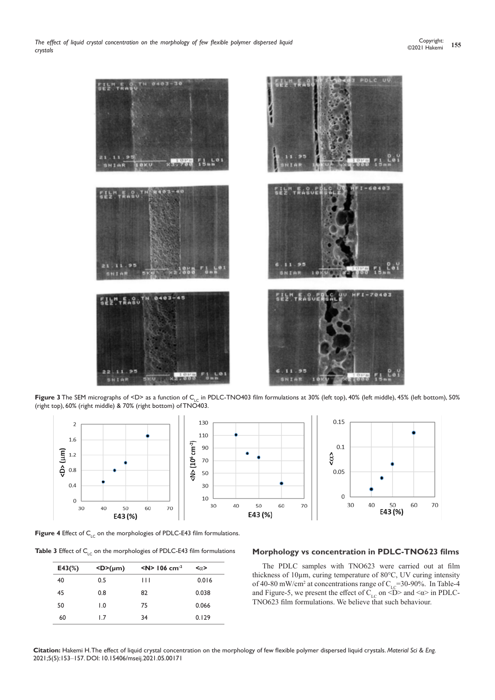

Figure 3 The SEM micrographs of <D> as a function of C<sub>LC</sub> in PDLC-TNO403 film formulations at 30% (left top), 40% (left middle), 45% (left bottom), 50% (right top), 60% (right middle) & 70% (right bottom) of TNO403.



**Figure 4** Effect of C<sub>LC</sub> on the morphologies of PDLC-E43 film formulations.

| <b>Table 3</b> Effect of $C_{1c}$ on the morphologies of PDLC-E43 film formulations |            |                              |                          |  |  |
|-------------------------------------------------------------------------------------|------------|------------------------------|--------------------------|--|--|
| $E43(\%)$                                                                           | $<$ D>(µm) | $\le N$ 106 cm <sup>-2</sup> | $\langle \alpha \rangle$ |  |  |

| 드카기 /0 ) | <b>ND</b> (µIII) | $\frac{1}{2}$ $\frac{1}{2}$ $\frac{1}{2}$ $\frac{1}{2}$ $\frac{1}{2}$ $\frac{1}{2}$ $\frac{1}{2}$ $\frac{1}{2}$ $\frac{1}{2}$ $\frac{1}{2}$ $\frac{1}{2}$ $\frac{1}{2}$ $\frac{1}{2}$ $\frac{1}{2}$ $\frac{1}{2}$ $\frac{1}{2}$ $\frac{1}{2}$ $\frac{1}{2}$ $\frac{1}{2}$ $\frac{1}{2}$ $\frac{1}{2}$ $\frac{1}{2}$ | $\sim$ u $\sim$ |
|----------|------------------|---------------------------------------------------------------------------------------------------------------------------------------------------------------------------------------------------------------------------------------------------------------------------------------------------------------------|-----------------|
| 40       | 0.5              | Ш                                                                                                                                                                                                                                                                                                                   | 0.016           |
| 45       | 0.8              | 82                                                                                                                                                                                                                                                                                                                  | 0.038           |
| 50       | $\overline{0}$ . | 75                                                                                                                                                                                                                                                                                                                  | 0.066           |
| 60       | 1.7              | 34                                                                                                                                                                                                                                                                                                                  | 0.129           |

## **Morphology vs concentration in PDLC-TNO623 films**

The PDLC samples with TNO623 were carried out at film thickness of 10µm, curing temperature of 80°C, UV curing intensity of 40-80 mW/cm<sup>2</sup> at concentrations range of  $C_{LC}$ =30-90%. In Table-4 and Figure-5, we present the effect of  $C_{LC}$  on  $\overline{CD}$  and  $\langle \alpha \rangle$  in PDLC-TNO623 film formulations. We believe that such behaviour.

**Citation:** Hakemi H. The effect of liquid crystal concentration on the morphology of few flexible polymer dispersed liquid crystals. *Material Sci & Eng.* 2021;5(5):153‒157. DOI: [10.15406/mseij.2021.05.00171](https://doi.org/10.15406/mseij.2021.05.00171)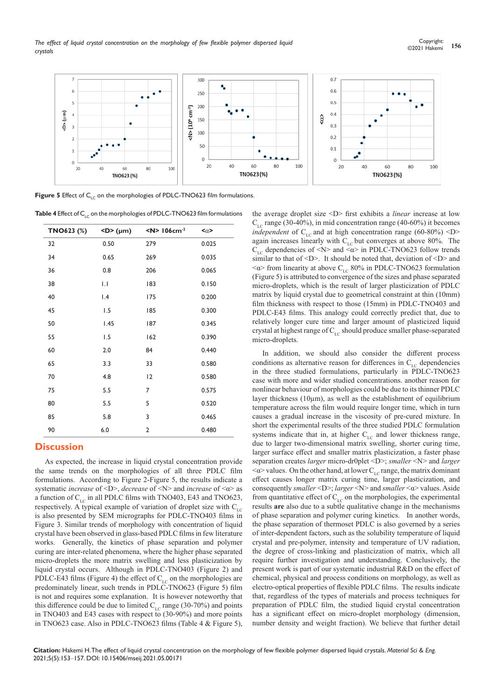*The effect of liquid crystal concentration on the morphology of few flexible polymer dispersed liquid crystals*



**Figure 5** Effect of C<sub>LC</sub> on the morphologies of PDLC-TNO623 film formulations.

**Table 4** Effect of C<sub>LC</sub> on the morphologies of PDLC-TNO623 film formulations

| TNO623 (%) | $<$ D> (µm) | $<$ N> 106cm <sup>-2</sup> | $<\alpha>$ |
|------------|-------------|----------------------------|------------|
| 32         | 0.50        | 279                        | 0.025      |
| 34         | 0.65        | 269                        | 0.035      |
| 36         | 0.8         | 206                        | 0.065      |
| 38         | IJ          | 183                        | 0.150      |
| 40         | 1.4         | 175                        | 0.200      |
| 45         | 1.5         | 185                        | 0.300      |
| 50         | 1.45        | 187                        | 0.345      |
| 55         | 1.5         | 162                        | 0.390      |
| 60         | 2.0         | 84                         | 0.440      |
| 65         | 3.3         | 33                         | 0.580      |
| 70         | 4.8         | 12                         | 0.580      |
| 75         | 5.5         | 7                          | 0.575      |
| 80         | 5.5         | 5                          | 0.520      |
| 85         | 5.8         | 3                          | 0.465      |
| 90         | 6.0         | $\overline{2}$             | 0.480      |

# **Discussion**

As expected, the increase in liquid crystal concentration provide the same trends on the morphologies of all three PDLC film formulations. According to Figure 2-Figure 5, the results indicate a systematic *increase* of <D>, *decrease* of <N> and *increase* of <α> as a function of  $C_{\text{LC}}$  in all PDLC films with TNO403, E43 and TNO623, respectively. A typical example of variation of droplet size with  $C_{LC}$ is also presented by SEM micrographs for PDLC-TNO403 films in Figure 3. Similar trends of morphology with concentration of liquid crystal have been observed in glass-based PDLC films in few literature works. Generally, the kinetics of phase separation and polymer curing are inter-related phenomena, where the higher phase separated micro-droplets the more matrix swelling and less plasticization by liquid crystal occurs. Although in PDLC-TNO403 (Figure 2) and PDLC-E43 films (Figure 4) the effect of  $C_{LC}$  on the morphologies are predominately linear, such trends in PDLC-TNO623 (Figure 5) film is not and requires some explanation. It is however noteworthy that this difference could be due to limited  $C_{\text{LC}}$  range (30-70%) and points in TNO403 and E43 cases with respect to (30-90%) and more points in TNO623 case. Also in PDLC-TNO623 films (Table 4 & Figure 5),

the average droplet size <D> first exhibits a *linear* increase at low  $C_{\text{LC}}$  range (30-40%), in mid concentration range (40-60%) it becomes *independent* of  $C_{\text{LC}}$  and at high concentration range (60-80%) <D> again increases linearly with  $C_{LC}$  but converges at above 80%. The  $C_{\text{LC}}$  dependencies of <N> and < $\alpha$ > in PDLC-TNO623 follow trends similar to that of  $\leq$ D>. It should be noted that, deviation of  $\leq$ D> and  $\langle \alpha \rangle$  from linearity at above C<sub>LC</sub> 80% in PDLC-TNO623 formulation (Figure 5) is attributed to convergence of the sizes and phase separated micro-droplets, which is the result of larger plasticization of PDLC matrix by liquid crystal due to geometrical constraint at thin (10mm) film thickness with respect to those (15mm) in PDLC-TNO403 and PDLC-E43 films. This analogy could correctly predict that, due to relatively longer cure time and larger amount of plasticized liquid crystal at highest range of  $C_{\text{LC}}$  should produce smaller phase-separated micro-droplets.

In addition, we should also consider the different process conditions as alternative reason for differences in  $C_{\text{LC}}$  dependencies in the three studied formulations, particularly in PDLC-TNO623 case with more and wider studied concentrations. another reason for nonlinear behaviour of morphologies could be due to its thinner PDLC layer thickness ( $10\mu$ m), as well as the establishment of equilibrium temperature across the film would require longer time, which in turn causes a gradual increase in the viscosity of pre-cured mixture. In short the experimental results of the three studied PDLC formulation systems indicate that in, at higher  $C_{LC}$  and lower thickness range, due to larger two-dimensional matrix swelling, shorter curing time, larger surface effect and smaller matrix plasticization, a faster phase separation creates *larger* micro-dr0plet <D>; *smaller* <N> and *larger*  $\langle \alpha \rangle$  values. On the other hand, at lower C<sub>LC</sub> range, the matrix dominant effect causes longer matrix curing time, larger plasticization, and consequently *smaller* <D>; *larger* <N> and *smaller* <α> values. Aside from quantitative effect of  $C_{LC}$  on the morphologies, the experimental results **are** also due to a subtle qualitative change in the mechanisms of phase separation and polymer curing kinetics. In another words, the phase separation of thermoset PDLC is also governed by a series of inter-dependent factors, such as the solubility temperature of liquid crystal and pre-polymer, intensity and temperature of UV radiation, the degree of cross-linking and plasticization of matrix, which all require further investigation and understanding. Conclusively, the present work is part of our systematic industrial R&D on the effect of chemical, physical and process conditions on morphology, as well as electro-optical properties of flexible PDLC films. The results indicate that, regardless of the types of materials and process techniques for preparation of PDLC film, the studied liquid crystal concentration has a significant effect on micro-droplet morphology (dimension, number density and weight fraction). We believe that further detail